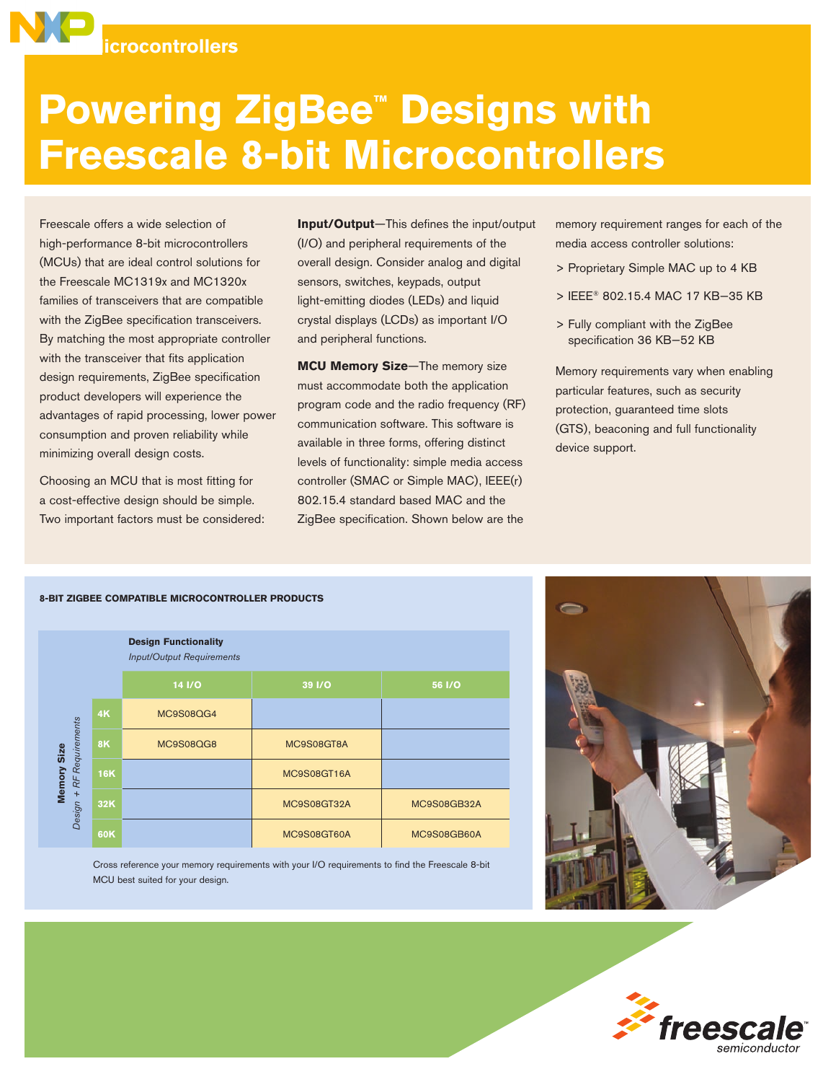

# **Powering ZigBee™ Designs with Freescale 8-bit Microcontrollers**

Freescale offers a wide selection of high-performance 8-bit microcontrollers (MCUs) that are ideal control solutions for the Freescale MC1319x and MC1320x families of transceivers that are compatible with the ZigBee specification transceivers. By matching the most appropriate controller with the transceiver that fits application design requirements, ZigBee specification product developers will experience the advantages of rapid processing, lower power consumption and proven reliability while minimizing overall design costs.

Choosing an MCU that is most fitting for a cost-effective design should be simple. Two important factors must be considered: **Input/Output**—This defines the input/output (I/O) and peripheral requirements of the overall design. Consider analog and digital sensors, switches, keypads, output light-emitting diodes (LEDs) and liquid crystal displays (LCDs) as important I/O and peripheral functions.

**MCU Memory Size**—The memory size must accommodate both the application program code and the radio frequency (RF) communication software. This software is available in three forms, offering distinct levels of functionality: simple media access controller (SMAC or Simple MAC), IEEE(r) 802.15.4 standard based MAC and the ZigBee specification. Shown below are the

memory requirement ranges for each of the media access controller solutions:

- > Proprietary Simple MAC up to 4 KB
- > IEEE® 802.15.4 MAC 17 KB–35 KB
- > Fully compliant with the ZigBee specification 36 KB–52 KB

Memory requirements vary when enabling particular features, such as security protection, guaranteed time slots (GTS), beaconing and full functionality device support.

#### **8-bit ZigBee Compatible Microcontroller Products**

|                                              |            | <b>Design Functionality</b><br><b>Input/Output Requirements</b> |             |               |
|----------------------------------------------|------------|-----------------------------------------------------------------|-------------|---------------|
|                                              |            | $14$ $1/0$                                                      | 39 I/O      | <b>56 I/O</b> |
| RF Requirements<br>Memory Size<br>$Design +$ | 4K         | MC9S08QG4                                                       |             |               |
|                                              | <b>8K</b>  | MC9S08QG8                                                       | MC9S08GT8A  |               |
|                                              | <b>16K</b> |                                                                 | MC9S08GT16A |               |
|                                              | 32K        |                                                                 | MC9S08GT32A | MC9S08GB32A   |
|                                              | 60K        |                                                                 | MC9S08GT60A | MC9S08GB60A   |

Cross reference your memory requirements with your I/O requirements to find the Freescale 8-bit MCU best suited for your design.